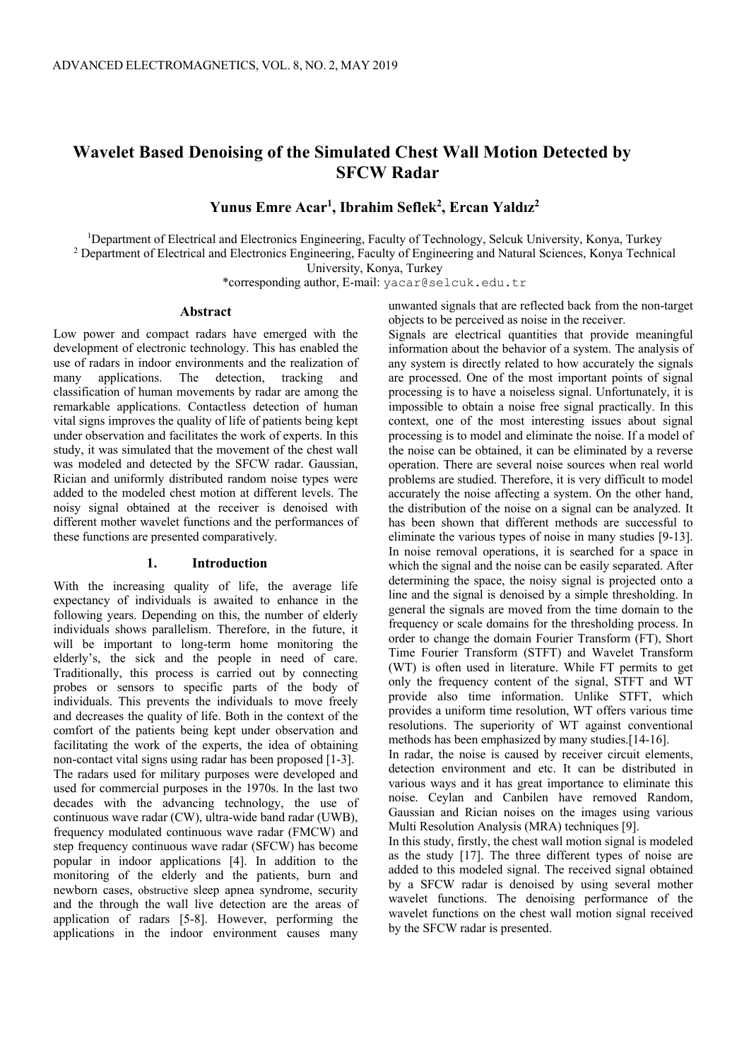# **Wavelet Based Denoising of the Simulated Chest Wall Motion Detected by SFCW Radar**

**Yunus Emre Acar1 , Ibrahim Seflek2 , Ercan Yaldız2**

<sup>1</sup>Department of Electrical and Electronics Engineering, Faculty of Technology, Selcuk University, Konya, Turkey <sup>2</sup> Department of Electrical and Electronics Engineering, Faculty of Engineering and Natural Sciences, Konya Technical University, Konya, Turkey

\*corresponding author, E-mail: yacar@selcuk.edu.tr

## **Abstract**

Low power and compact radars have emerged with the development of electronic technology. This has enabled the use of radars in indoor environments and the realization of many applications. The detection, tracking and classification of human movements by radar are among the remarkable applications. Contactless detection of human vital signs improves the quality of life of patients being kept under observation and facilitates the work of experts. In this study, it was simulated that the movement of the chest wall was modeled and detected by the SFCW radar. Gaussian, Rician and uniformly distributed random noise types were added to the modeled chest motion at different levels. The noisy signal obtained at the receiver is denoised with different mother wavelet functions and the performances of these functions are presented comparatively.

# **1. Introduction**

With the increasing quality of life, the average life expectancy of individuals is awaited to enhance in the following years. Depending on this, the number of elderly individuals shows parallelism. Therefore, in the future, it will be important to long-term home monitoring the elderly's, the sick and the people in need of care. Traditionally, this process is carried out by connecting probes or sensors to specific parts of the body of individuals. This prevents the individuals to move freely and decreases the quality of life. Both in the context of the comfort of the patients being kept under observation and facilitating the work of the experts, the idea of obtaining non-contact vital signs using radar has been proposed [1-3]. The radars used for military purposes were developed and used for commercial purposes in the 1970s. In the last two decades with the advancing technology, the use of continuous wave radar (CW), ultra-wide band radar (UWB), frequency modulated continuous wave radar (FMCW) and step frequency continuous wave radar (SFCW) has become popular in indoor applications [4]. In addition to the monitoring of the elderly and the patients, burn and newborn cases, obstructive sleep apnea syndrome, security and the through the wall live detection are the areas of application of radars [5-8]. However, performing the applications in the indoor environment causes many

unwanted signals that are reflected back from the non-target objects to be perceived as noise in the receiver.

Signals are electrical quantities that provide meaningful information about the behavior of a system. The analysis of any system is directly related to how accurately the signals are processed. One of the most important points of signal processing is to have a noiseless signal. Unfortunately, it is impossible to obtain a noise free signal practically. In this context, one of the most interesting issues about signal processing is to model and eliminate the noise. If a model of the noise can be obtained, it can be eliminated by a reverse operation. There are several noise sources when real world problems are studied. Therefore, it is very difficult to model accurately the noise affecting a system. On the other hand, the distribution of the noise on a signal can be analyzed. It has been shown that different methods are successful to eliminate the various types of noise in many studies [9-13]. In noise removal operations, it is searched for a space in which the signal and the noise can be easily separated. After determining the space, the noisy signal is projected onto a line and the signal is denoised by a simple thresholding. In general the signals are moved from the time domain to the frequency or scale domains for the thresholding process. In order to change the domain Fourier Transform (FT), Short Time Fourier Transform (STFT) and Wavelet Transform (WT) is often used in literature. While FT permits to get only the frequency content of the signal, STFT and WT provide also time information. Unlike STFT, which provides a uniform time resolution, WT offers various time resolutions. The superiority of WT against conventional methods has been emphasized by many studies.[14-16].

In radar, the noise is caused by receiver circuit elements, detection environment and etc. It can be distributed in various ways and it has great importance to eliminate this noise. Ceylan and Canbilen have removed Random, Gaussian and Rician noises on the images using various Multi Resolution Analysis (MRA) techniques [9].

In this study, firstly, the chest wall motion signal is modeled as the study [17]. The three different types of noise are added to this modeled signal. The received signal obtained by a SFCW radar is denoised by using several mother wavelet functions. The denoising performance of the wavelet functions on the chest wall motion signal received by the SFCW radar is presented.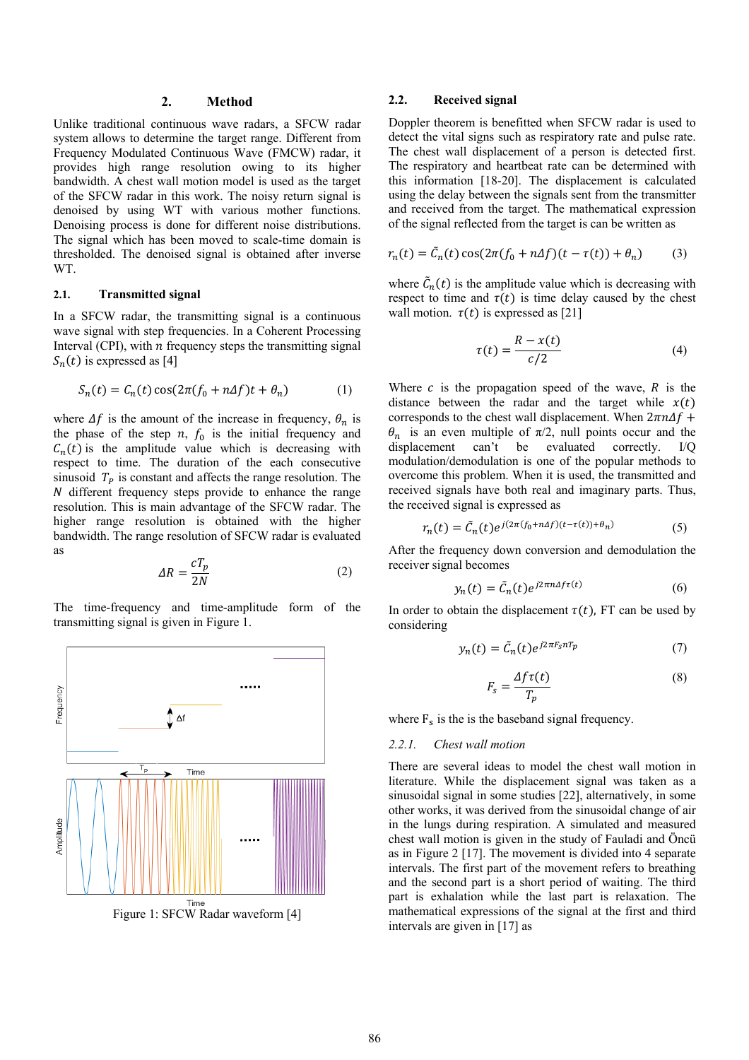# **2. Method**

Unlike traditional continuous wave radars, a SFCW radar system allows to determine the target range. Different from Frequency Modulated Continuous Wave (FMCW) radar, it provides high range resolution owing to its higher bandwidth. A chest wall motion model is used as the target of the SFCW radar in this work. The noisy return signal is denoised by using WT with various mother functions. Denoising process is done for different noise distributions. The signal which has been moved to scale-time domain is thresholded. The denoised signal is obtained after inverse WT.

# **2.1. Transmitted signal**

In a SFCW radar, the transmitting signal is a continuous wave signal with step frequencies. In a Coherent Processing Interval (CPI), with  $n$  frequency steps the transmitting signal  $S_n(t)$  is expressed as [4]

$$
S_n(t) = C_n(t)\cos(2\pi(f_0 + n\Delta f)t + \theta_n)
$$
 (1)

where  $\Delta f$  is the amount of the increase in frequency,  $\theta_n$  is the phase of the step  $n$ ,  $f_0$  is the initial frequency and  $C_n(t)$  is the amplitude value which is decreasing with respect to time. The duration of the each consecutive sinusoid  $T_p$  is constant and affects the range resolution. The  $N$  different frequency steps provide to enhance the range resolution. This is main advantage of the SFCW radar. The higher range resolution is obtained with the higher bandwidth. The range resolution of SFCW radar is evaluated as

$$
\Delta R = \frac{cT_p}{2N} \tag{2}
$$

The time-frequency and time-amplitude form of the transmitting signal is given in Figure 1.



Figure 1: SFCW Radar waveform [4]

## **2.2. Received signal**

Doppler theorem is benefitted when SFCW radar is used to detect the vital signs such as respiratory rate and pulse rate. The chest wall displacement of a person is detected first. The respiratory and heartbeat rate can be determined with this information [18-20]. The displacement is calculated using the delay between the signals sent from the transmitter and received from the target. The mathematical expression of the signal reflected from the target is can be written as

$$
r_n(t) = \tilde{C}_n(t)\cos(2\pi(f_0 + n\Delta f)(t - \tau(t)) + \theta_n)
$$
 (3)

where  $\tilde{C}_n(t)$  is the amplitude value which is decreasing with respect to time and  $\tau(t)$  is time delay caused by the chest wall motion.  $\tau(t)$  is expressed as [21]

$$
\tau(t) = \frac{R - x(t)}{c/2} \tag{4}
$$

Where  $c$  is the propagation speed of the wave,  $R$  is the distance between the radar and the target while  $x(t)$ corresponds to the chest wall displacement. When  $2\pi n\Delta f$  +  $\theta_n$  is an even multiple of  $\pi/2$ , null points occur and the displacement can't be evaluated correctly. I/Q be evaluated correctly.  $I/Q$ modulation/demodulation is one of the popular methods to overcome this problem. When it is used, the transmitted and received signals have both real and imaginary parts. Thus, the received signal is expressed as

$$
r_n(t) = \tilde{C}_n(t)e^{j(2\pi(f_0 + n\Delta f)(t - \tau(t)) + \theta_n)}
$$
\n(5)

After the frequency down conversion and demodulation the receiver signal becomes

$$
y_n(t) = \tilde{C}_n(t)e^{j2\pi n\Delta f\tau(t)}
$$
\n(6)

In order to obtain the displacement  $\tau(t)$ , FT can be used by considering

$$
y_n(t) = \tilde{C}_n(t)e^{j2\pi F_s nT_p} \tag{7}
$$

$$
F_s = \frac{\Delta f \tau(t)}{T_p} \tag{8}
$$

where  $F_s$  is the is the baseband signal frequency.

#### *2.2.1. Chest wall motion*

There are several ideas to model the chest wall motion in literature. While the displacement signal was taken as a sinusoidal signal in some studies [22], alternatively, in some other works, it was derived from the sinusoidal change of air in the lungs during respiration. A simulated and measured chest wall motion is given in the study of Fauladi and Öncü as in Figure 2 [17]. The movement is divided into 4 separate intervals. The first part of the movement refers to breathing and the second part is a short period of waiting. The third part is exhalation while the last part is relaxation. The mathematical expressions of the signal at the first and third intervals are given in [17] as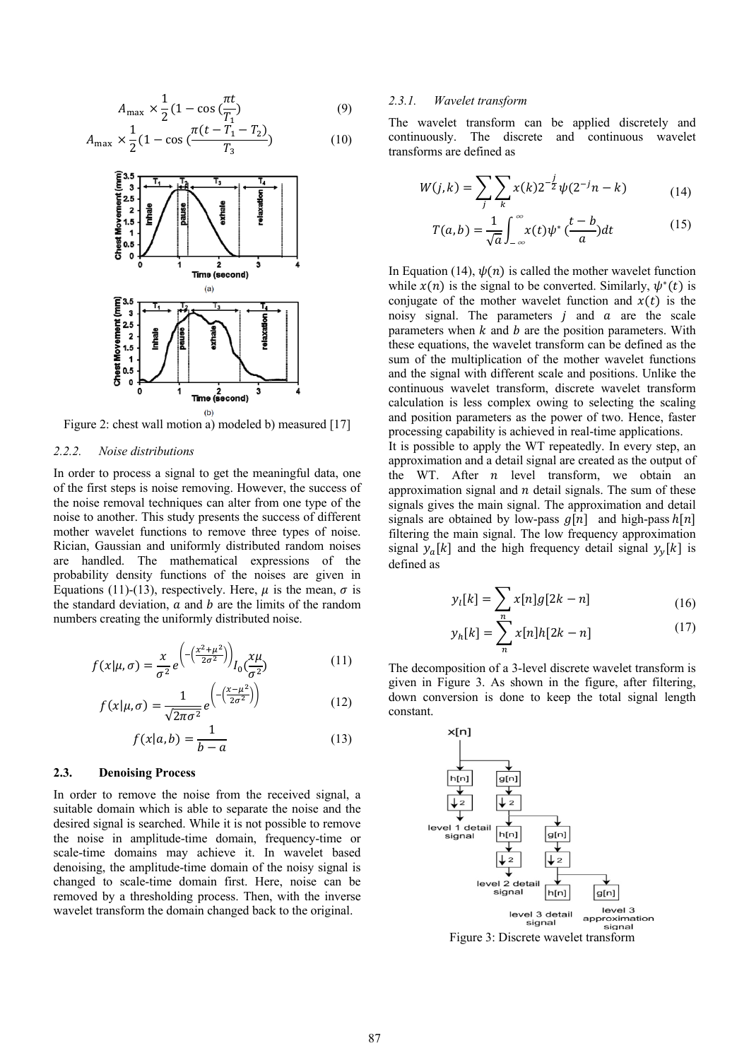$$
A_{\text{max}} \times \frac{1}{2} (1 - \cos(\frac{\pi t}{T_1}))
$$
\n(9)

$$
A_{\max} \times \frac{1}{2} (1 - \cos\left(\frac{\pi (t - T_1 - T_2)}{T_3}\right) \tag{10}
$$



Figure 2: chest wall motion a) modeled b) measured [17]

#### *2.2.2. Noise distributions*

In order to process a signal to get the meaningful data, one of the first steps is noise removing. However, the success of the noise removal techniques can alter from one type of the noise to another. This study presents the success of different mother wavelet functions to remove three types of noise. Rician, Gaussian and uniformly distributed random noises are handled. The mathematical expressions of the probability density functions of the noises are given in Equations (11)-(13), respectively. Here,  $\mu$  is the mean,  $\sigma$  is the standard deviation,  $a$  and  $b$  are the limits of the random numbers creating the uniformly distributed noise.

$$
f(x|\mu,\sigma) = \frac{x}{\sigma^2} e^{-\left(\frac{x^2 + \mu^2}{2\sigma^2}\right)} l_0(\frac{x\mu}{\sigma^2})
$$
(11)

$$
f(x|\mu,\sigma) = \frac{1}{\sqrt{2\pi\sigma^2}} e^{-\left(\frac{x-\mu^2}{2\sigma^2}\right)}
$$
(12)

$$
f(x|a,b) = \frac{1}{b-a} \tag{13}
$$

# **2.3. Denoising Process**

In order to remove the noise from the received signal, a suitable domain which is able to separate the noise and the desired signal is searched. While it is not possible to remove the noise in amplitude-time domain, frequency-time or scale-time domains may achieve it. In wavelet based denoising, the amplitude-time domain of the noisy signal is changed to scale-time domain first. Here, noise can be removed by a thresholding process. Then, with the inverse wavelet transform the domain changed back to the original.

## *2.3.1. Wavelet transform*

The wavelet transform can be applied discretely and continuously. The discrete and continuous wavelet transforms are defined as

$$
W(j,k) = \sum_{j} \sum_{k} x(k) 2^{-\frac{j}{2}} \psi(2^{-j}n - k)
$$
 (14)

$$
T(a,b) = \frac{1}{\sqrt{a}} \int_{-\infty}^{\infty} x(t) \psi^* \left(\frac{t-b}{a}\right) dt \tag{15}
$$

In Equation (14),  $\psi(n)$  is called the mother wavelet function while  $x(n)$  is the signal to be converted. Similarly,  $\psi^*(t)$  is conjugate of the mother wavelet function and  $x(t)$  is the noisy signal. The parameters  $j$  and  $a$  are the scale parameters when  $k$  and  $b$  are the position parameters. With these equations, the wavelet transform can be defined as the sum of the multiplication of the mother wavelet functions and the signal with different scale and positions. Unlike the continuous wavelet transform, discrete wavelet transform calculation is less complex owing to selecting the scaling and position parameters as the power of two. Hence, faster processing capability is achieved in real-time applications.

It is possible to apply the WT repeatedly. In every step, an approximation and a detail signal are created as the output of the WT. After  $n$  level transform, we obtain an approximation signal and  $n$  detail signals. The sum of these signals gives the main signal. The approximation and detail signals are obtained by low-pass  $q[n]$  and high-pass  $h[n]$ filtering the main signal. The low frequency approximation signal  $y_a[k]$  and the high frequency detail signal  $y_v[k]$  is defined as

$$
y_l[k] = \sum_{n} x[n]g[2k - n] \tag{16}
$$

$$
y_h[k] = \sum_{n=1}^{N} x[n]h[2k - n] \tag{17}
$$

The decomposition of a 3-level discrete wavelet transform is given in Figure 3. As shown in the figure, after filtering, down conversion is done to keep the total signal length constant.



Figure 3: Discrete wavelet transform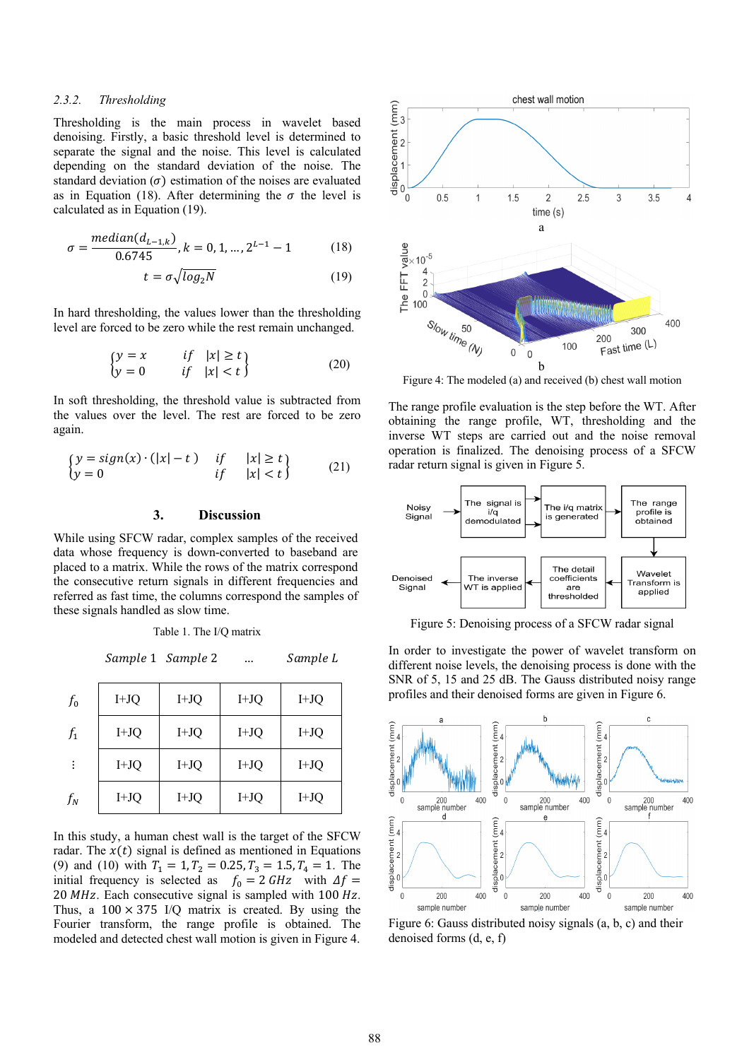#### *2.3.2. Thresholding*

Thresholding is the main process in wavelet based denoising. Firstly, a basic threshold level is determined to separate the signal and the noise. This level is calculated depending on the standard deviation of the noise. The standard deviation  $(\sigma)$  estimation of the noises are evaluated as in Equation (18). After determining the  $\sigma$  the level is calculated as in Equation (19).

$$
\sigma = \frac{median(d_{L-1,k})}{0.6745}, k = 0, 1, ..., 2^{L-1} - 1
$$
 (18)

$$
t = \sigma \sqrt{\log_2 N} \tag{19}
$$

In hard thresholding, the values lower than the thresholding level are forced to be zero while the rest remain unchanged.

$$
\begin{cases}\ny = x & \text{if } |x| \ge t \\
y = 0 & \text{if } |x| < t\n\end{cases}
$$
\n(20)

In soft thresholding, the threshold value is subtracted from the values over the level. The rest are forced to be zero again.

$$
\begin{cases}\ny = sign(x) \cdot (|x| - t) & \text{if } |x| \ge t \\
y = 0 & \text{if } |x| < t\n\end{cases}
$$
\n(21)

# **3. Discussion**

While using SFCW radar, complex samples of the received data whose frequency is down-converted to baseband are placed to a matrix. While the rows of the matrix correspond the consecutive return signals in different frequencies and referred as fast time, the columns correspond the samples of these signals handled as slow time.

Sample 1 Sample 2 … Sample L

 $T_{\rm T}$  1. The I/Q

| $f_{0}$ | $I+JQ$ | $I+JQ$ | $I+JQ$ | $I+JQ$ |
|---------|--------|--------|--------|--------|
| $f_1$   | $I+JQ$ | $I+JQ$ | $I+JQ$ | $I+JQ$ |
| ÷       | $I+JQ$ | $I+JQ$ | $I+JQ$ | $I+JQ$ |
| $f_N$   | $I+JQ$ | $I+JQ$ | $I+JQ$ | $I+JQ$ |

In this study, a human chest wall is the target of the SFCW radar. The  $x(t)$  signal is defined as mentioned in Equations (9) and (10) with  $T_1 = 1, T_2 = 0.25, T_3 = 1.5, T_4 = 1$ . The initial frequency is selected as  $f_0 = 2 GHz$  with  $\Delta f =$  $20$  MHz. Each consecutive signal is sampled with 100 Hz. Thus, a  $100 \times 375$  I/Q matrix is created. By using the Fourier transform, the range profile is obtained. The modeled and detected chest wall motion is given in Figure 4.



Figure 4: The modeled (a) and received (b) chest wall motion

The range profile evaluation is the step before the WT. After obtaining the range profile, WT, thresholding and the inverse WT steps are carried out and the noise removal operation is finalized. The denoising process of a SFCW radar return signal is given in Figure 5.



Figure 5: Denoising process of a SFCW radar signal

In order to investigate the power of wavelet transform on different noise levels, the denoising process is done with the SNR of 5, 15 and 25 dB. The Gauss distributed noisy range profiles and their denoised forms are given in Figure 6.



Figure 6: Gauss distributed noisy signals (a, b, c) and their denoised forms (d, e, f)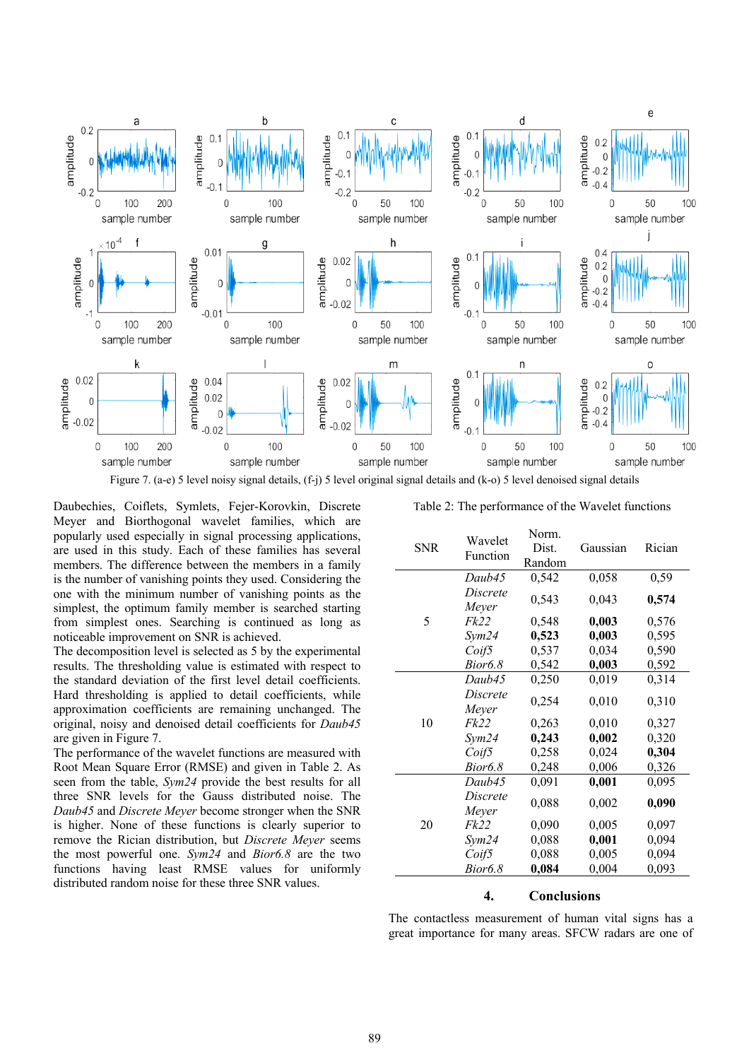

Figure 7. (a-e) 5 level noisy signal details, (f-j) 5 level original signal details and (k-o) 5 level denoised signal details

Daubechies, Coiflets, Symlets, Fejer-Korovkin, Discrete Meyer and Biorthogonal wavelet families, which are popularly used especially in signal processing applications, are used in this study. Each of these families has several members. The difference between the members in a family is the number of vanishing points they used. Considering the one with the minimum number of vanishing points as the simplest, the optimum family member is searched starting from simplest ones. Searching is continued as long as noticeable improvement on SNR is achieved.

The decomposition level is selected as 5 by the experimental results. The thresholding value is estimated with respect to the standard deviation of the first level detail coefficients. Hard thresholding is applied to detail coefficients, while approximation coefficients are remaining unchanged. The original, noisy and denoised detail coefficients for *Daub45* are given in Figure 7.

The performance of the wavelet functions are measured with Root Mean Square Error (RMSE) and given in Table 2. As seen from the table, *Sym24* provide the best results for all three SNR levels for the Gauss distributed noise. The *Daub45* and *Discrete Meyer* become stronger when the SNR is higher. None of these functions is clearly superior to remove the Rician distribution, but *Discrete Meyer* seems the most powerful one. *Sym24* and *Bior6.8* are the two functions having least RMSE values for uniformly distributed random noise for these three SNR values.

Table 2: The performance of the Wavelet functions

| <b>SNR</b> | Wavelet<br>Function | Norm.<br>Dist. | Gaussian | Rician |
|------------|---------------------|----------------|----------|--------|
|            |                     | Random         |          |        |
|            | Daub45              | 0,542          | 0,058    | 0,59   |
|            | Discrete            | 0,543          | 0,043    | 0,574  |
|            | Meyer               |                |          |        |
| 5          | <i>Fk22</i>         | 0,548          | 0,003    | 0,576  |
|            | Sym24               | 0,523          | 0,003    | 0,595  |
|            | Coif5               | 0,537          | 0,034    | 0,590  |
|            | Bior6.8             | 0,542          | 0,003    | 0,592  |
|            | Daub45              | 0,250          | 0,019    | 0,314  |
|            | Discrete            | 0,254          | 0,010    | 0,310  |
|            | Meyer               |                |          |        |
| 10         | Fk22                | 0,263          | 0,010    | 0,327  |
|            | Sym24               | 0,243          | 0,002    | 0,320  |
|            | Coif5               | 0,258          | 0,024    | 0,304  |
|            | Bior6.8             | 0,248          | 0,006    | 0,326  |
|            | Daub45              | 0,091          | 0,001    | 0,095  |
|            | Discrete            | 0,088          | 0,002    | 0,090  |
|            | Meyer               |                |          |        |
| 20         | <i>Fk22</i>         | 0,090          | 0,005    | 0,097  |
|            | Sym24               | 0,088          | 0,001    | 0,094  |
|            | Coif5               | 0,088          | 0,005    | 0,094  |
|            | Bior6.8             | 0,084          | 0,004    | 0,093  |

# **4. Conclusions**

The contactless measurement of human vital signs has a great importance for many areas. SFCW radars are one of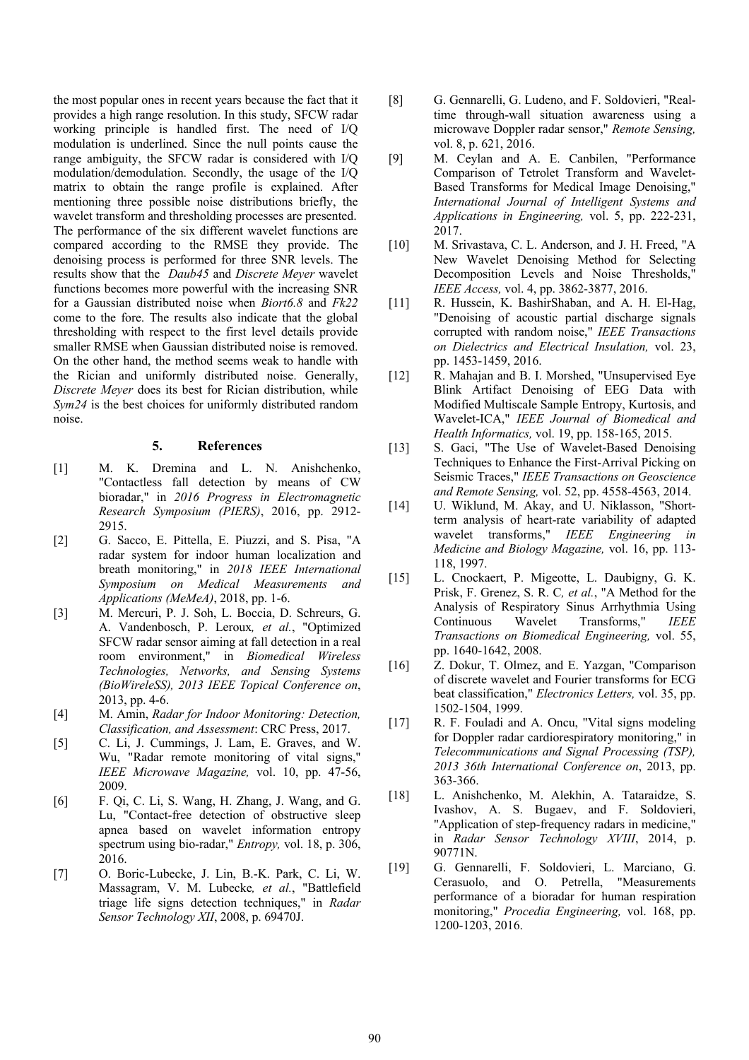the most popular ones in recent years because the fact that it provides a high range resolution. In this study, SFCW radar working principle is handled first. The need of I/Q modulation is underlined. Since the null points cause the range ambiguity, the SFCW radar is considered with I/Q modulation/demodulation. Secondly, the usage of the I/Q matrix to obtain the range profile is explained. After mentioning three possible noise distributions briefly, the wavelet transform and thresholding processes are presented. The performance of the six different wavelet functions are compared according to the RMSE they provide. The denoising process is performed for three SNR levels. The results show that the *Daub45* and *Discrete Meyer* wavelet functions becomes more powerful with the increasing SNR for a Gaussian distributed noise when *Biort6.8* and *Fk22* come to the fore. The results also indicate that the global thresholding with respect to the first level details provide smaller RMSE when Gaussian distributed noise is removed. On the other hand, the method seems weak to handle with the Rician and uniformly distributed noise. Generally, *Discrete Meyer* does its best for Rician distribution, while *Sym24* is the best choices for uniformly distributed random noise.

## **5. References**

- [1] M. K. Dremina and L. N. Anishchenko, "Contactless fall detection by means of CW bioradar," in *2016 Progress in Electromagnetic Research Symposium (PIERS)*, 2016, pp. 2912- 2915.
- [2] G. Sacco, E. Pittella, E. Piuzzi, and S. Pisa, "A radar system for indoor human localization and breath monitoring," in *2018 IEEE International Symposium on Medical Measurements and Applications (MeMeA)*, 2018, pp. 1-6.
- [3] M. Mercuri, P. J. Soh, L. Boccia, D. Schreurs, G. A. Vandenbosch, P. Leroux*, et al.*, "Optimized SFCW radar sensor aiming at fall detection in a real room environment," in *Biomedical Wireless Technologies, Networks, and Sensing Systems (BioWireleSS), 2013 IEEE Topical Conference on*, 2013, pp. 4-6.
- [4] M. Amin, *Radar for Indoor Monitoring: Detection, Classification, and Assessment*: CRC Press, 2017.
- [5] C. Li, J. Cummings, J. Lam, E. Graves, and W. Wu, "Radar remote monitoring of vital signs," *IEEE Microwave Magazine,* vol. 10, pp. 47-56, 2009.
- [6] F. Qi, C. Li, S. Wang, H. Zhang, J. Wang, and G. Lu, "Contact-free detection of obstructive sleep apnea based on wavelet information entropy spectrum using bio-radar," *Entropy,* vol. 18, p. 306, 2016.
- [7] O. Boric-Lubecke, J. Lin, B.-K. Park, C. Li, W. Massagram, V. M. Lubecke*, et al.*, "Battlefield triage life signs detection techniques," in *Radar Sensor Technology XII*, 2008, p. 69470J.
- [8] G. Gennarelli, G. Ludeno, and F. Soldovieri, "Realtime through-wall situation awareness using a microwave Doppler radar sensor," *Remote Sensing,*  vol. 8, p. 621, 2016.
- [9] M. Ceylan and A. E. Canbilen, "Performance Comparison of Tetrolet Transform and Wavelet-Based Transforms for Medical Image Denoising," *International Journal of Intelligent Systems and Applications in Engineering,* vol. 5, pp. 222-231, 2017.
- [10] M. Srivastava, C. L. Anderson, and J. H. Freed, "A New Wavelet Denoising Method for Selecting Decomposition Levels and Noise Thresholds," *IEEE Access,* vol. 4, pp. 3862-3877, 2016.
- [11] R. Hussein, K. BashirShaban, and A. H. El-Hag, "Denoising of acoustic partial discharge signals corrupted with random noise," *IEEE Transactions on Dielectrics and Electrical Insulation,* vol. 23, pp. 1453-1459, 2016.
- [12] R. Mahajan and B. I. Morshed, "Unsupervised Eye Blink Artifact Denoising of EEG Data with Modified Multiscale Sample Entropy, Kurtosis, and Wavelet-ICA," *IEEE Journal of Biomedical and Health Informatics,* vol. 19, pp. 158-165, 2015.
- [13] S. Gaci, "The Use of Wavelet-Based Denoising Techniques to Enhance the First-Arrival Picking on Seismic Traces," *IEEE Transactions on Geoscience and Remote Sensing,* vol. 52, pp. 4558-4563, 2014.
- [14] U. Wiklund, M. Akay, and U. Niklasson, "Shortterm analysis of heart-rate variability of adapted wavelet transforms," *IEEE Engineering in Medicine and Biology Magazine,* vol. 16, pp. 113- 118, 1997.
- [15] L. Cnockaert, P. Migeotte, L. Daubigny, G. K. Prisk, F. Grenez, S. R. C*, et al.*, "A Method for the Analysis of Respiratory Sinus Arrhythmia Using Continuous Wavelet Transforms," *IEEE Transactions on Biomedical Engineering,* vol. 55, pp. 1640-1642, 2008.
- [16] Z. Dokur, T. Olmez, and E. Yazgan, "Comparison of discrete wavelet and Fourier transforms for ECG beat classification," *Electronics Letters,* vol. 35, pp. 1502-1504, 1999.
- [17] R. F. Fouladi and A. Oncu, "Vital signs modeling for Doppler radar cardiorespiratory monitoring," in *Telecommunications and Signal Processing (TSP), 2013 36th International Conference on*, 2013, pp. 363-366.
- [18] L. Anishchenko, M. Alekhin, A. Tataraidze, S. Ivashov, A. S. Bugaev, and F. Soldovieri, "Application of step-frequency radars in medicine," in *Radar Sensor Technology XVIII*, 2014, p. 90771N.
- [19] G. Gennarelli, F. Soldovieri, L. Marciano, G. Cerasuolo, and O. Petrella, "Measurements performance of a bioradar for human respiration monitoring," *Procedia Engineering,* vol. 168, pp. 1200-1203, 2016.